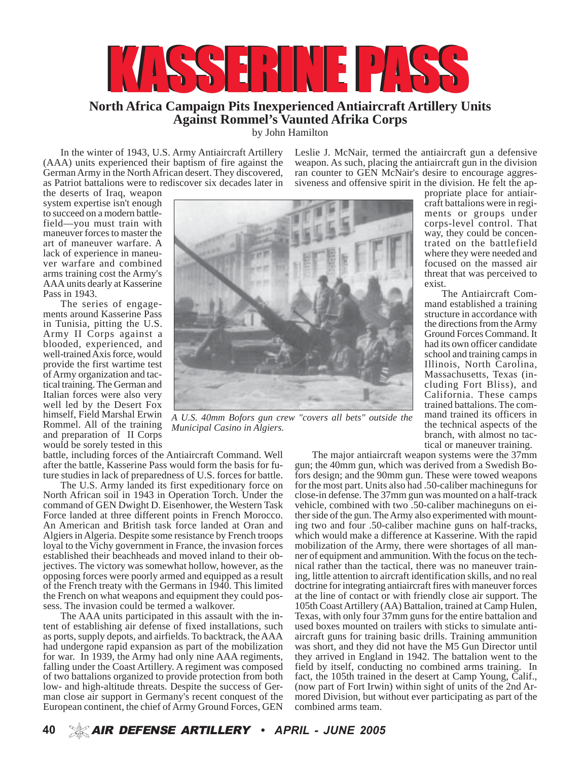

## **North Africa Campaign Pits Inexperienced Antiaircraft Artillery Units Against Rommel's Vaunted Afrika Corps**

by John Hamilton

In the winter of 1943, U.S. Army Antiaircraft Artillery (AAA) units experienced their baptism of fire against the German Army in the North African desert. They discovered, as Patriot battalions were to rediscover six decades later in

the deserts of Iraq, weapon system expertise isn't enough to succeed on a modern battlefield—you must train with maneuver forces to master the art of maneuver warfare. A lack of experience in maneuver warfare and combined arms training cost the Army's AAA units dearly at Kasserine Pass in 1943.

The series of engagements around Kasserine Pass in Tunisia, pitting the U.S. Army II Corps against a blooded, experienced, and well-trained Axis force, would provide the first wartime test of Army organization and tactical training. The German and Italian forces were also very well led by the Desert Fox himself, Field Marshal Erwin Rommel. All of the training and preparation of II Corps would be sorely tested in this

propriate place for antiaircraft battalions were in regiments or groups under corps-level control. That trated on the battlefield focused on the massed air threat that was perceived to exist. mand established a training structure in accordance with the directions from the Army Ground Forces Command. It had its own officer candidate Illinois, North Carolina, Massachusetts, Texas (including Fort Bliss), and California. These camps trained battalions. The command trained its officers in

*A U.S. 40mm Bofors gun crew "covers all bets" outside the Municipal Casino in Algiers.*

battle, including forces of the Antiaircraft Command. Well after the battle, Kasserine Pass would form the basis for future studies in lack of preparedness of U.S. forces for battle.

The U.S. Army landed its first expeditionary force on North African soil in 1943 in Operation Torch. Under the command of GEN Dwight D. Eisenhower, the Western Task Force landed at three different points in French Morocco. An American and British task force landed at Oran and Algiers in Algeria. Despite some resistance by French troops loyal to the Vichy government in France, the invasion forces established their beachheads and moved inland to their objectives. The victory was somewhat hollow, however, as the opposing forces were poorly armed and equipped as a result of the French treaty with the Germans in 1940. This limited the French on what weapons and equipment they could possess. The invasion could be termed a walkover.

The AAA units participated in this assault with the intent of establishing air defense of fixed installations, such as ports, supply depots, and airfields. To backtrack, the AAA had undergone rapid expansion as part of the mobilization for war. In 1939, the Army had only nine AAA regiments, falling under the Coast Artillery. A regiment was composed of two battalions organized to provide protection from both low- and high-altitude threats. Despite the success of German close air support in Germany's recent conquest of the European continent, the chief of Army Ground Forces, GEN

Leslie J. McNair, termed the antiaircraft gun a defensive weapon. As such, placing the antiaircraft gun in the division ran counter to GEN McNair's desire to encourage aggressiveness and offensive spirit in the division. He felt the ap-

> the technical aspects of the branch, with almost no tactical or maneuver training.

way, they could be concen-

where they were needed and

The Antiaircraft Com-

school and training camps in

The major antiaircraft weapon systems were the 37mm gun; the 40mm gun, which was derived from a Swedish Bofors design; and the 90mm gun. These were towed weapons for the most part. Units also had .50-caliber machineguns for close-in defense. The 37mm gun was mounted on a half-track vehicle, combined with two .50-caliber machineguns on either side of the gun. The Army also experimented with mounting two and four .50-caliber machine guns on half-tracks, which would make a difference at Kasserine. With the rapid mobilization of the Army, there were shortages of all manner of equipment and ammunition. With the focus on the technical rather than the tactical, there was no maneuver training, little attention to aircraft identification skills, and no real doctrine for integrating antiaircraft fires with maneuver forces at the line of contact or with friendly close air support. The 105th Coast Artillery (AA) Battalion, trained at Camp Hulen, Texas, with only four 37mm guns for the entire battalion and used boxes mounted on trailers with sticks to simulate antiaircraft guns for training basic drills. Training ammunition was short, and they did not have the M5 Gun Director until they arrived in England in 1942. The battalion went to the field by itself, conducting no combined arms training. In fact, the 105th trained in the desert at Camp Young, Calif., (now part of Fort Irwin) within sight of units of the 2nd Armored Division, but without ever participating as part of the combined arms team.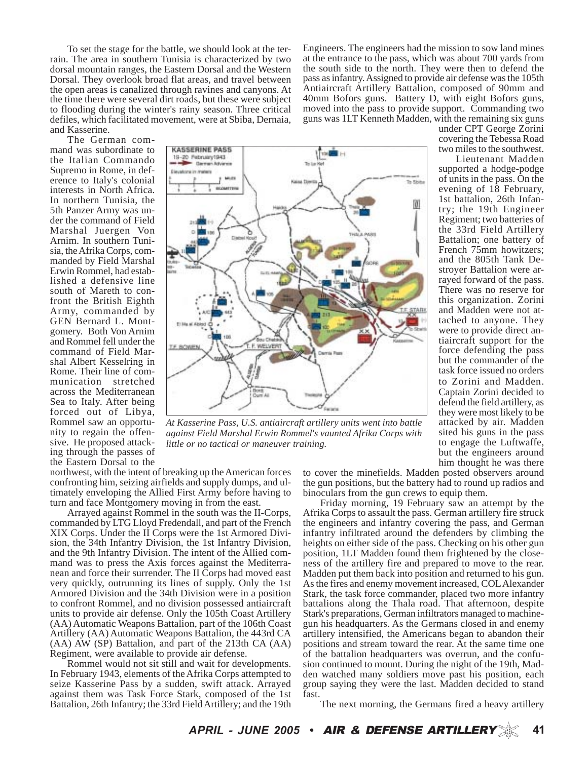To set the stage for the battle, we should look at the terrain. The area in southern Tunisia is characterized by two dorsal mountain ranges, the Eastern Dorsal and the Western Dorsal. They overlook broad flat areas, and travel between the open areas is canalized through ravines and canyons. At the time there were several dirt roads, but these were subject to flooding during the winter's rainy season. Three critical defiles, which facilitated movement, were at Sbiba, Dernaia, and Kasserine.

Engineers. The engineers had the mission to sow land mines at the entrance to the pass, which was about 700 yards from the south side to the north. They were then to defend the pass as infantry. Assigned to provide air defense was the 105th Antiaircraft Artillery Battalion, composed of 90mm and 40mm Bofors guns. Battery D, with eight Bofors guns, moved into the pass to provide support. Commanding two guns was 1LT Kenneth Madden, with the remaining six guns

> under CPT George Zorini covering the Tebessa Road two miles to the southwest. Lieutenant Madden supported a hodge-podge of units in the pass. On the evening of 18 February, 1st battalion, 26th Infantry; the 19th Engineer Regiment; two batteries of the 33rd Field Artillery Battalion; one battery of French 75mm howitzers; and the 805th Tank Destroyer Battalion were arrayed forward of the pass. There was no reserve for this organization. Zorini and Madden were not attached to anyone. They were to provide direct antiaircraft support for the force defending the pass but the commander of the task force issued no orders to Zorini and Madden. Captain Zorini decided to defend the field artillery, as they were most likely to be attacked by air. Madden sited his guns in the pass to engage the Luftwaffe, but the engineers around him thought he was there

The German command was subordinate to the Italian Commando Supremo in Rome, in deference to Italy's colonial interests in North Africa. In northern Tunisia, the 5th Panzer Army was under the command of Field Marshal Juergen Von Arnim. In southern Tunisia, the Afrika Corps, commanded by Field Marshal Erwin Rommel, had established a defensive line south of Mareth to confront the British Eighth Army, commanded by GEN Bernard L. Montgomery. Both Von Arnim and Rommel fell under the command of Field Marshal Albert Kesselring in Rome. Their line of communication stretched across the Mediterranean Sea to Italy. After being forced out of Libya, Rommel saw an opportunity to regain the offensive. He proposed attacking through the passes of the Eastern Dorsal to the



*At Kasserine Pass, U.S. antiaircraft artillery units went into battle against Field Marshal Erwin Rommel's vaunted Afrika Corps with little or no tactical or maneuver training.*

northwest, with the intent of breaking up the American forces confronting him, seizing airfields and supply dumps, and ultimately enveloping the Allied First Army before having to turn and face Montgomery moving in from the east.

Arrayed against Rommel in the south was the II-Corps, commanded by LTG Lloyd Fredendall, and part of the French XIX Corps. Under the II Corps were the 1st Armored Division, the 34th Infantry Division, the 1st Infantry Division, and the 9th Infantry Division. The intent of the Allied command was to press the Axis forces against the Mediterranean and force their surrender. The II Corps had moved east very quickly, outrunning its lines of supply. Only the 1st Armored Division and the 34th Division were in a position to confront Rommel, and no division possessed antiaircraft units to provide air defense. Only the 105th Coast Artillery (AA) Automatic Weapons Battalion, part of the 106th Coast Artillery (AA) Automatic Weapons Battalion, the 443rd CA (AA) AW (SP) Battalion, and part of the 213th CA (AA) Regiment, were available to provide air defense.

Rommel would not sit still and wait for developments. In February 1943, elements of the Afrika Corps attempted to seize Kasserine Pass by a sudden, swift attack. Arrayed against them was Task Force Stark, composed of the 1st Battalion, 26th Infantry; the 33rd Field Artillery; and the 19th to cover the minefields. Madden posted observers around the gun positions, but the battery had to round up radios and binoculars from the gun crews to equip them.

Friday morning, 19 February saw an attempt by the Afrika Corps to assault the pass. German artillery fire struck the engineers and infantry covering the pass, and German infantry infiltrated around the defenders by climbing the heights on either side of the pass. Checking on his other gun position, 1LT Madden found them frightened by the closeness of the artillery fire and prepared to move to the rear. Madden put them back into position and returned to his gun. As the fires and enemy movement increased, COL Alexander Stark, the task force commander, placed two more infantry battalions along the Thala road. That afternoon, despite Stark's preparations, German infiltrators managed to machinegun his headquarters. As the Germans closed in and enemy artillery intensified, the Americans began to abandon their positions and stream toward the rear. At the same time one of the battalion headquarters was overrun, and the confusion continued to mount. During the night of the 19th, Madden watched many soldiers move past his position, each group saying they were the last. Madden decided to stand fast.

The next morning, the Germans fired a heavy artillery